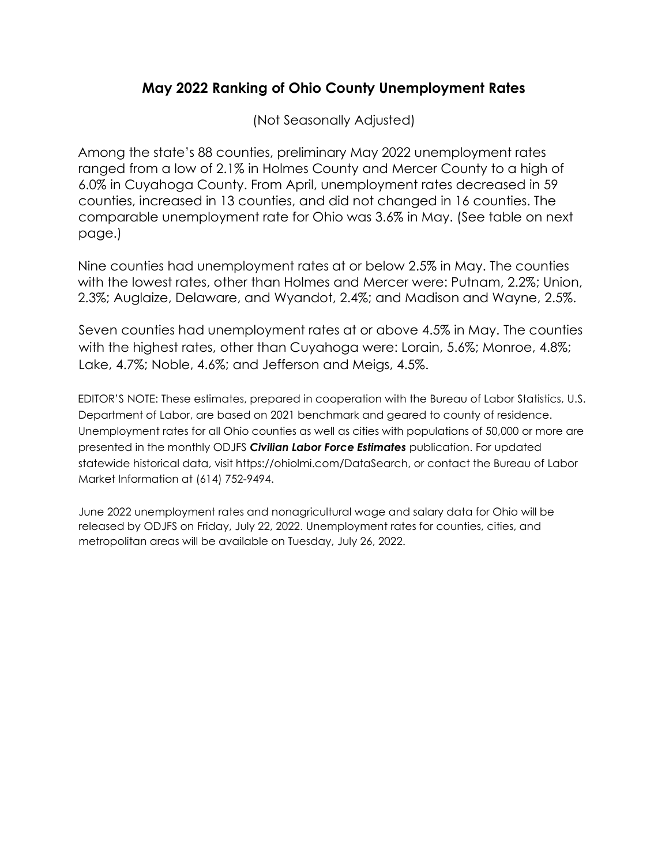## May 2022 Ranking of Ohio County Unemployment Rates

(Not Seasonally Adjusted)

Among the state's 88 counties, preliminary May 2022 unemployment rates ranged from a low of 2.1% in Holmes County and Mercer County to a high of 6.0% in Cuyahoga County. From April, unemployment rates decreased in 59 counties, increased in 13 counties, and did not changed in 16 counties. The comparable unemployment rate for Ohio was 3.6% in May. (See table on next page.)

Nine counties had unemployment rates at or below 2.5% in May. The counties with the lowest rates, other than Holmes and Mercer were: Putnam, 2.2%; Union, 2.3%; Auglaize, Delaware, and Wyandot, 2.4%; and Madison and Wayne, 2.5%.

Seven counties had unemployment rates at or above 4.5% in May. The counties with the highest rates, other than Cuyahoga were: Lorain, 5.6%; Monroe, 4.8%; Lake, 4.7%; Noble, 4.6%; and Jefferson and Meigs, 4.5%.

EDITOR'S NOTE: These estimates, prepared in cooperation with the Bureau of Labor Statistics, U.S. Department of Labor, are based on 2021 benchmark and geared to county of residence. Unemployment rates for all Ohio counties as well as cities with populations of 50,000 or more are presented in the monthly ODJFS Civilian Labor Force Estimates publication. For updated statewide historical data, visit https://ohiolmi.com/DataSearch, or contact the Bureau of Labor Market Information at (614) 752-9494.

June 2022 unemployment rates and nonagricultural wage and salary data for Ohio will be released by ODJFS on Friday, July 22, 2022. Unemployment rates for counties, cities, and metropolitan areas will be available on Tuesday, July 26, 2022.